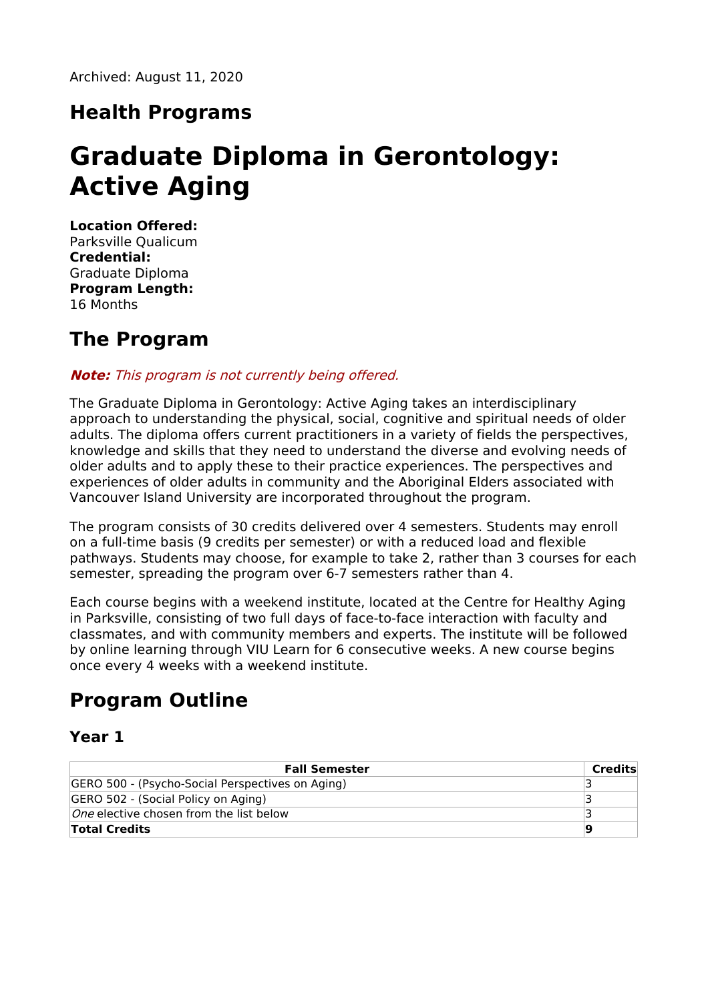### **Health Programs**

# **Graduate Diploma in Gerontology: Active Aging**

**Location Offered:** Parksville Qualicum **Credential:** Graduate Diploma **Program Length:** 16 Months

#### **The Program**

#### **Note:** This program is not currently being offered.

The Graduate Diploma in Gerontology: Active Aging takes an interdisciplinary approach to understanding the physical, social, cognitive and spiritual needs of older adults. The diploma offers current practitioners in a variety of fields the perspectives, knowledge and skills that they need to understand the diverse and evolving needs of older adults and to apply these to their practice experiences. The perspectives and experiences of older adults in community and the Aboriginal Elders associated with Vancouver Island University are incorporated throughout the program.

The program consists of 30 credits delivered over 4 semesters. Students may enroll on a full-time basis (9 credits per semester) or with a reduced load and flexible pathways. Students may choose, for example to take 2, rather than 3 courses for each semester, spreading the program over 6-7 semesters rather than 4.

Each course begins with a weekend institute, located at the Centre for Healthy Aging in Parksville, consisting of two full days of face-to-face interaction with faculty and classmates, and with community members and experts. The institute will be followed by online learning through VIU Learn for 6 consecutive weeks. A new course begins once every 4 weeks with a weekend institute.

# **Program Outline**

#### **Year 1**

| <b>Fall Semester</b>                             | Credits |
|--------------------------------------------------|---------|
| GERO 500 - (Psycho-Social Perspectives on Aging) |         |
| GERO 502 - (Social Policy on Aging)              |         |
| <i>One</i> elective chosen from the list below   |         |
| <b>Total Credits</b>                             | g       |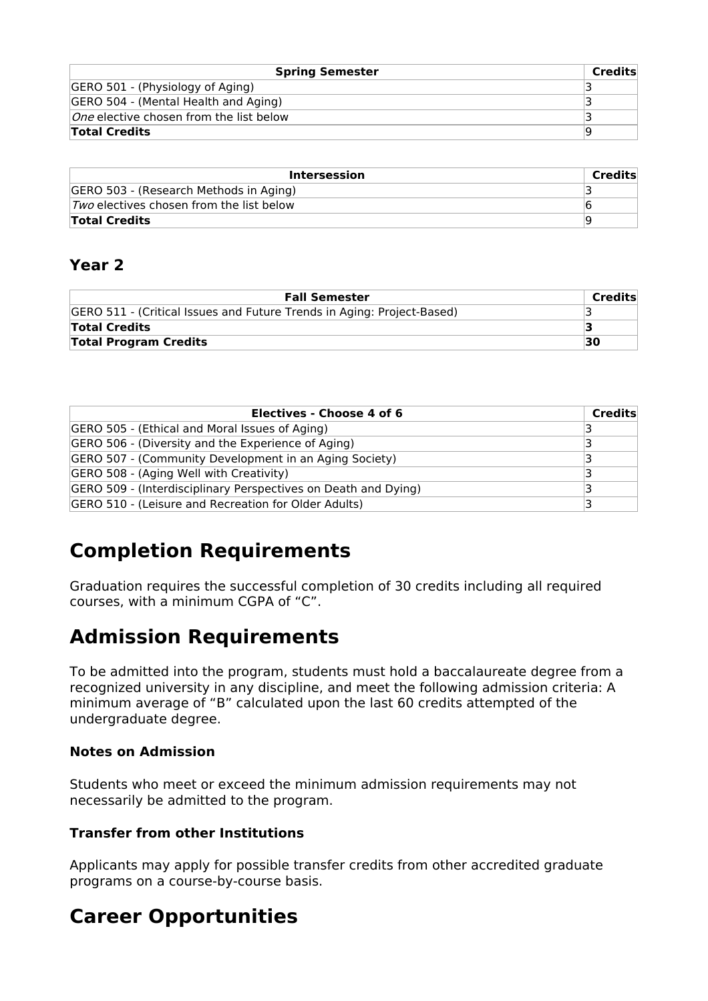| <b>Spring Semester</b>                         | Credits |
|------------------------------------------------|---------|
| GERO 501 - (Physiology of Aging)               |         |
| GERO 504 - (Mental Health and Aging)           |         |
| <i>One</i> elective chosen from the list below |         |
| <b>Total Credits</b>                           | ۱Q      |

| Intersession                                | Credits |
|---------------------------------------------|---------|
| GERO 503 - (Research Methods in Aging)      |         |
| $ Two$ electives chosen from the list below |         |
| <b>Total Credits</b>                        | फ़      |

#### **Year 2**

| <b>Fall Semester</b>                                                   | Credits |
|------------------------------------------------------------------------|---------|
| GERO 511 - (Critical Issues and Future Trends in Aging: Project-Based) |         |
| <b>Total Credits</b>                                                   |         |
| <b>Total Program Credits</b>                                           | 30      |

| <b>Electives - Choose 4 of 6</b>                               | Credits |
|----------------------------------------------------------------|---------|
| GERO 505 - (Ethical and Moral Issues of Aging)                 |         |
| GERO 506 - (Diversity and the Experience of Aging)             |         |
| GERO 507 - (Community Development in an Aging Society)         |         |
| GERO 508 - (Aging Well with Creativity)                        |         |
| GERO 509 - (Interdisciplinary Perspectives on Death and Dying) |         |
| GERO 510 - (Leisure and Recreation for Older Adults)           |         |

# **Completion Requirements**

Graduation requires the successful completion of 30 credits including all required courses, with a minimum CGPA of "C".

# **Admission Requirements**

To be admitted into the program, students must hold a baccalaureate degree from a recognized university in any discipline, and meet the following admission criteria: A minimum average of "B" calculated upon the last 60 credits attempted of the undergraduate degree.

#### **Notes on Admission**

Students who meet or exceed the minimum admission requirements may not necessarily be admitted to the program.

#### **Transfer from other Institutions**

Applicants may apply for possible transfer credits from other accredited graduate programs on a course-by-course basis.

# **Career Opportunities**